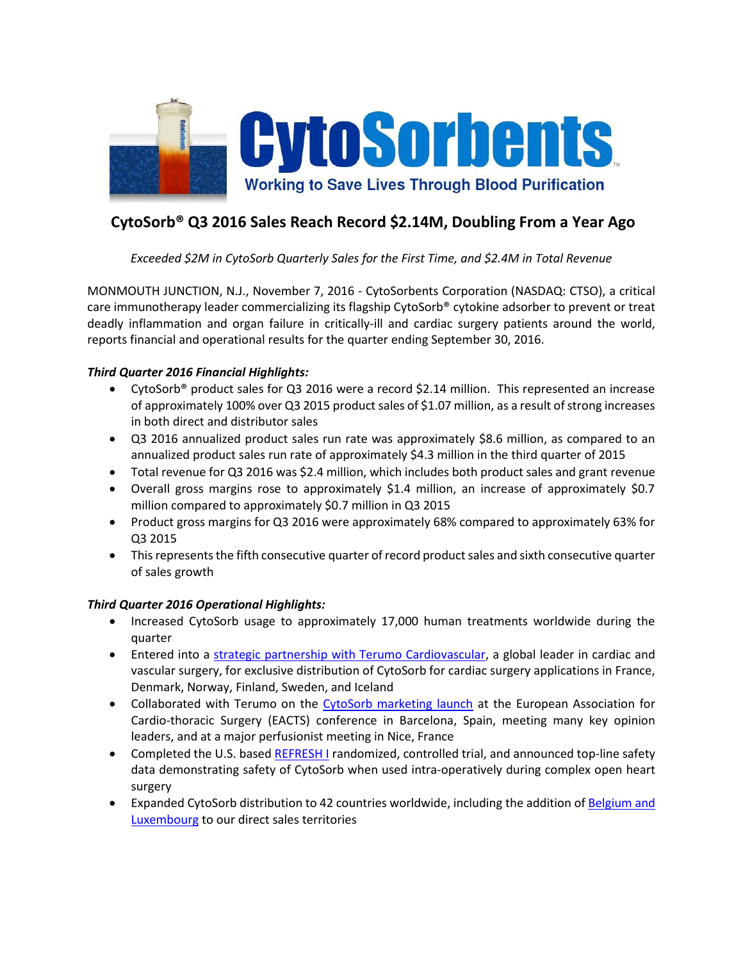

# **CytoSorb® Q3 2016 Sales Reach Record \$2.14M, Doubling From a Year Ago**

*Exceeded \$2M in CytoSorb Quarterly Sales for the First Time, and \$2.4M in Total Revenue*

MONMOUTH JUNCTION, N.J., November 7, 2016 - CytoSorbents Corporation (NASDAQ: CTSO), a critical care immunotherapy leader commercializing its flagship CytoSorb® cytokine adsorber to prevent or treat deadly inflammation and organ failure in critically-ill and cardiac surgery patients around the world, reports financial and operational results for the quarter ending September 30, 2016.

## *Third Quarter 2016 Financial Highlights:*

- CytoSorb® product sales for Q3 2016 were a record \$2.14 million. This represented an increase of approximately 100% over Q3 2015 product sales of \$1.07 million, as a result of strong increases in both direct and distributor sales
- Q3 2016 annualized product sales run rate was approximately \$8.6 million, as compared to an annualized product sales run rate of approximately \$4.3 million in the third quarter of 2015
- Total revenue for Q3 2016 was \$2.4 million, which includes both product sales and grant revenue
- Overall gross margins rose to approximately \$1.4 million, an increase of approximately \$0.7 million compared to approximately \$0.7 million in Q3 2015
- Product gross margins for Q3 2016 were approximately 68% compared to approximately 63% for Q3 2015
- This represents the fifth consecutive quarter of record product sales and sixth consecutive quarter of sales growth

## *Third Quarter 2016 Operational Highlights:*

- Increased CytoSorb usage to approximately 17,000 human treatments worldwide during the quarter
- Entered into a [strategic partnership with Terumo Cardiovascular,](http://cytosorbents.com/terumo-cardiovascular-group-and-cytosorbents-announce-cytosorb-cardiac-surgery-partnership/) a global leader in cardiac and vascular surgery, for exclusive distribution of CytoSorb for cardiac surgery applications in France, Denmark, Norway, Finland, Sweden, and Iceland
- Collaborated with Terumo on the [CytoSorb marketing launch](http://cytosorbents.com/international-marketing-of-cytosorb-commences-at-european-association-for-cardio-thoracic-surgery-conference/) at the European Association for Cardio-thoracic Surgery (EACTS) conference in Barcelona, Spain, meeting many key opinion leaders, and at a major perfusionist meeting in Nice, France
- Completed the U.S. based [REFRESH I](http://cytosorbents.com/cytosorbents-announces-positive-top-line-safety-data-from-refresh-i-cardiac-surgery-trial/) randomized, controlled trial, and announced top-line safety data demonstrating safety of CytoSorb when used intra-operatively during complex open heart surgery
- Expanded CytoSorb distribution to 42 countries worldwide, including the addition of [Belgium and](http://cytosorbents.mediaroom.com/2016-11-03-CytoSorbents-Expands-Direct-Sales-of-CytoSorb-to-Belgium-and-Luxembourg)  [Luxembourg](http://cytosorbents.mediaroom.com/2016-11-03-CytoSorbents-Expands-Direct-Sales-of-CytoSorb-to-Belgium-and-Luxembourg) to our direct sales territories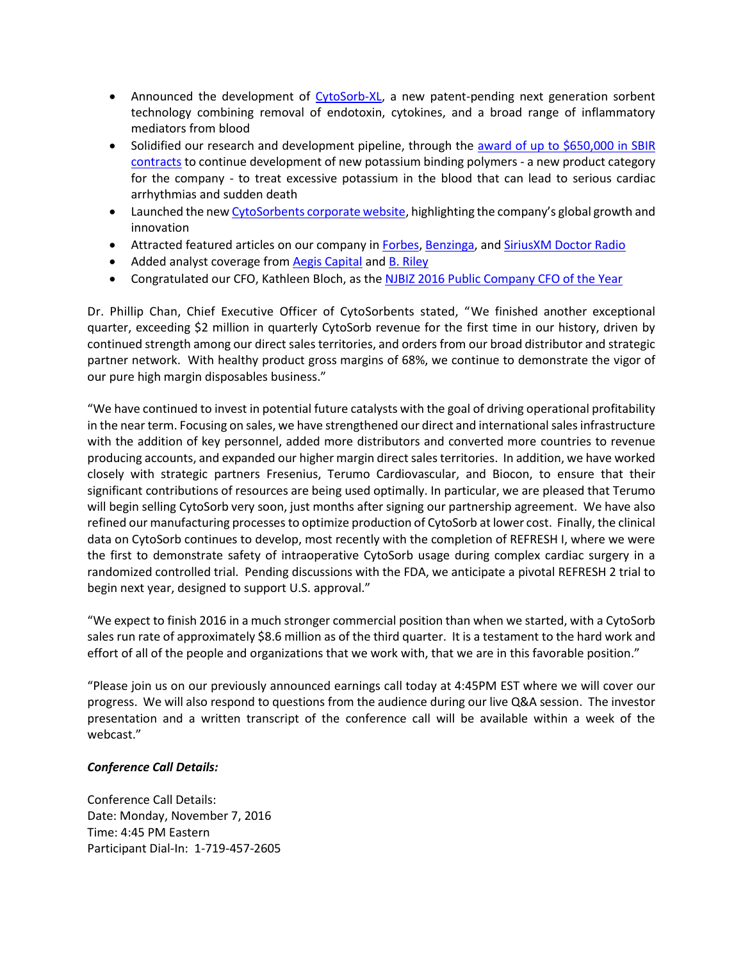- Announced the development of [CytoSorb-XL,](http://cytosorbents.com/technology/cytosorb-is-easy-to-use-and-implement/) a new patent-pending next generation sorbent technology combining removal of endotoxin, cytokines, and a broad range of inflammatory mediators from blood
- Solidified our research and development pipeline, through the award of up to \$650,000 in SBIR [contracts](http://cytosorbents.com/cytosorbents-awarded-650000-in-sbir-grant-contracts-to-continue-development-of-novel-hemocompatible-potassium-binding-polymers/) to continue development of new potassium binding polymers - a new product category for the company - to treat excessive potassium in the blood that can lead to serious cardiac arrhythmias and sudden death
- Launched the ne[w CytoSorbents corporate website](http://www.cytosorbents.com/), highlighting the company's global growth and innovation
- **Attracted featured articles on our company in [Forbes,](http://www.forbes.com/sites/jenniferhicks/2016/08/24/this-blood-filtering-system-could-help-lower-the-risk-of-death-from-inflammatory-infections/#18d3366fef82) [Benzinga,](http://www.benzinga.com/general/biotech/16/08/8343394/exclusive-cytosorbents-ceo-on-how-its-blood-purification-technology-ca) an[d SiriusXM Doctor](https://soundcloud.com/user-704879984-588217753/dr-chan-on-sirius-radio) Radio**
- Added analyst coverage from [Aegis Capital](https://finance.yahoo.com/news/cytosorbents-gets-bullish-commentary-european-165512292.html) and B. [Riley](http://brileyco.com/research/coverage_list/cytosorbents-corporation/)
- Congratulated our CFO, Kathleen Bloch, as the NJBIZ [2016 Public Company CFO of the Year](http://cytosorbents.com/cytosorbents-congratulates-kathleen-bloch-as-njbiz-public-company-chief-financial-officer-of-the-year/)

Dr. Phillip Chan, Chief Executive Officer of CytoSorbents stated, "We finished another exceptional quarter, exceeding \$2 million in quarterly CytoSorb revenue for the first time in our history, driven by continued strength among our direct sales territories, and orders from our broad distributor and strategic partner network. With healthy product gross margins of 68%, we continue to demonstrate the vigor of our pure high margin disposables business."

"We have continued to invest in potential future catalysts with the goal of driving operational profitability in the near term. Focusing on sales, we have strengthened our direct and international sales infrastructure with the addition of key personnel, added more distributors and converted more countries to revenue producing accounts, and expanded our higher margin direct sales territories. In addition, we have worked closely with strategic partners Fresenius, Terumo Cardiovascular, and Biocon, to ensure that their significant contributions of resources are being used optimally. In particular, we are pleased that Terumo will begin selling CytoSorb very soon, just months after signing our partnership agreement. We have also refined our manufacturing processesto optimize production of CytoSorb at lower cost. Finally, the clinical data on CytoSorb continues to develop, most recently with the completion of REFRESH I, where we were the first to demonstrate safety of intraoperative CytoSorb usage during complex cardiac surgery in a randomized controlled trial. Pending discussions with the FDA, we anticipate a pivotal REFRESH 2 trial to begin next year, designed to support U.S. approval."

"We expect to finish 2016 in a much stronger commercial position than when we started, with a CytoSorb sales run rate of approximately \$8.6 million as of the third quarter. It is a testament to the hard work and effort of all of the people and organizations that we work with, that we are in this favorable position."

"Please join us on our previously announced earnings call today at 4:45PM EST where we will cover our progress. We will also respond to questions from the audience during our live Q&A session. The investor presentation and a written transcript of the conference call will be available within a week of the webcast."

### *Conference Call Details:*

Conference Call Details: Date: Monday, November 7, 2016 Time: 4:45 PM Eastern Participant Dial-In: 1-719-457-2605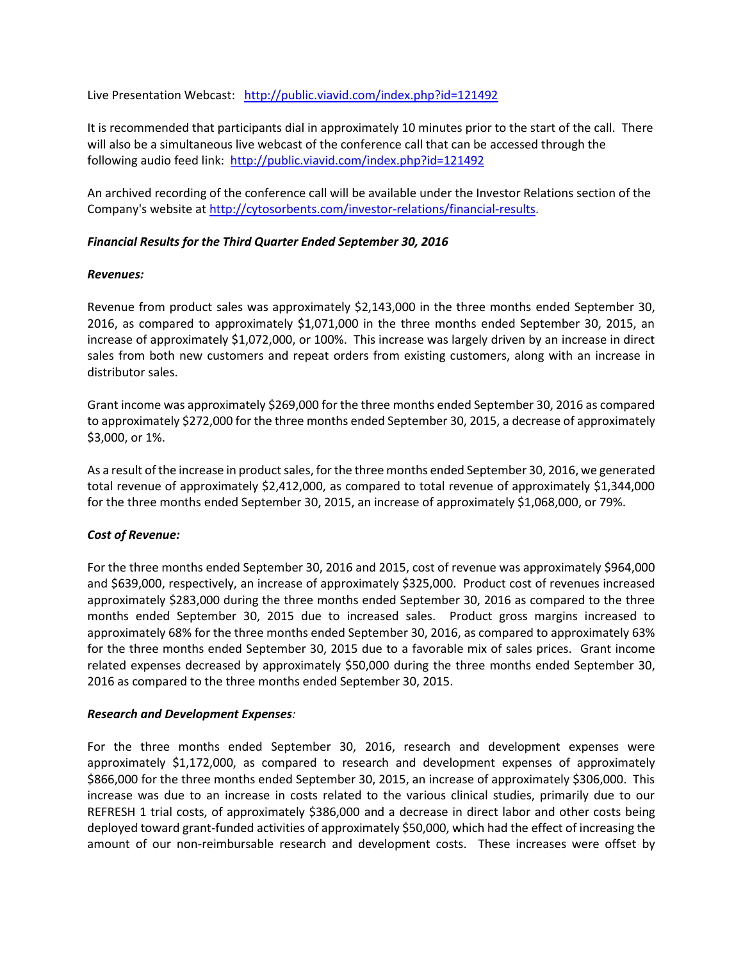Live Presentation Webcast: <http://public.viavid.com/index.php?id=121492>

It is recommended that participants dial in approximately 10 minutes prior to the start of the call. There will also be a simultaneous live webcast of the conference call that can be accessed through the following audio feed link: <http://public.viavid.com/index.php?id=121492>

An archived recording of the conference call will be available under the Investor Relations section of the Company's website a[t http://cytosorbents.com/investor-relations/financial-results.](http://cytosorbents.com/investor-relations/financial-results)

#### *Financial Results for the Third Quarter Ended September 30, 2016*

#### *Revenues:*

Revenue from product sales was approximately \$2,143,000 in the three months ended September 30, 2016, as compared to approximately \$1,071,000 in the three months ended September 30, 2015, an increase of approximately \$1,072,000, or 100%. This increase was largely driven by an increase in direct sales from both new customers and repeat orders from existing customers, along with an increase in distributor sales.

Grant income was approximately \$269,000 for the three months ended September 30, 2016 as compared to approximately \$272,000 for the three months ended September 30, 2015, a decrease of approximately \$3,000, or 1%.

As a result of the increase in product sales, for the three months ended September 30, 2016, we generated total revenue of approximately \$2,412,000, as compared to total revenue of approximately \$1,344,000 for the three months ended September 30, 2015, an increase of approximately \$1,068,000, or 79%.

### *Cost of Revenue:*

For the three months ended September 30, 2016 and 2015, cost of revenue was approximately \$964,000 and \$639,000, respectively, an increase of approximately \$325,000. Product cost of revenues increased approximately \$283,000 during the three months ended September 30, 2016 as compared to the three months ended September 30, 2015 due to increased sales. Product gross margins increased to approximately 68% for the three months ended September 30, 2016, as compared to approximately 63% for the three months ended September 30, 2015 due to a favorable mix of sales prices. Grant income related expenses decreased by approximately \$50,000 during the three months ended September 30, 2016 as compared to the three months ended September 30, 2015.

### *Research and Development Expenses:*

For the three months ended September 30, 2016, research and development expenses were approximately \$1,172,000, as compared to research and development expenses of approximately \$866,000 for the three months ended September 30, 2015, an increase of approximately \$306,000. This increase was due to an increase in costs related to the various clinical studies, primarily due to our REFRESH 1 trial costs, of approximately \$386,000 and a decrease in direct labor and other costs being deployed toward grant-funded activities of approximately \$50,000, which had the effect of increasing the amount of our non-reimbursable research and development costs. These increases were offset by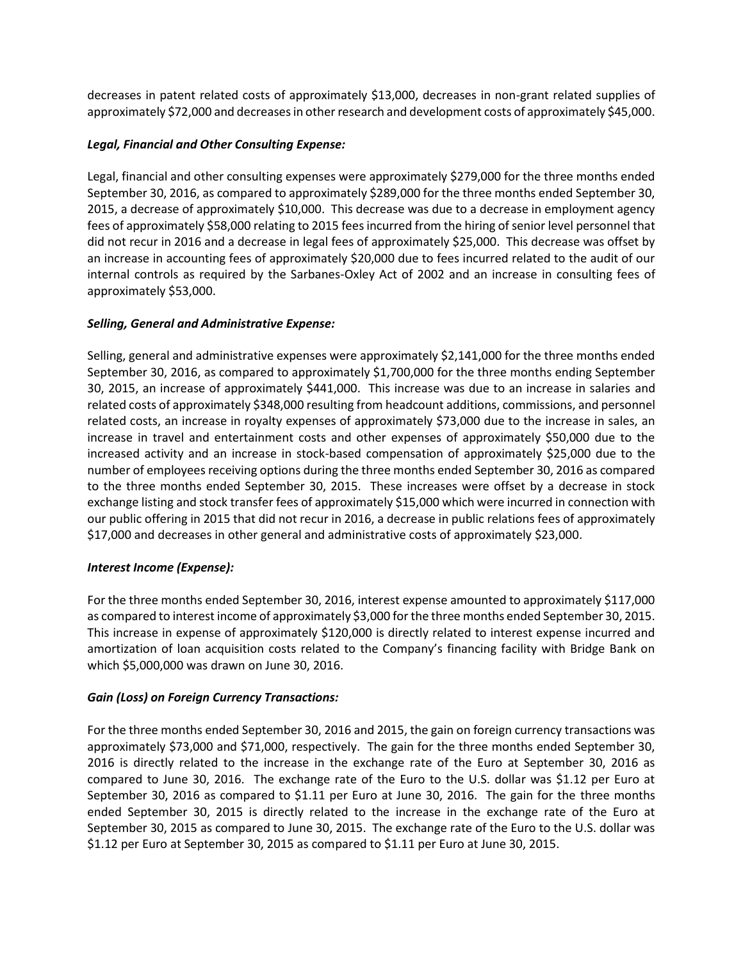decreases in patent related costs of approximately \$13,000, decreases in non-grant related supplies of approximately \$72,000 and decreases in other research and development costs of approximately \$45,000.

## *Legal, Financial and Other Consulting Expense:*

Legal, financial and other consulting expenses were approximately \$279,000 for the three months ended September 30, 2016, as compared to approximately \$289,000 for the three months ended September 30, 2015, a decrease of approximately \$10,000. This decrease was due to a decrease in employment agency fees of approximately \$58,000 relating to 2015 fees incurred from the hiring of senior level personnel that did not recur in 2016 and a decrease in legal fees of approximately \$25,000. This decrease was offset by an increase in accounting fees of approximately \$20,000 due to fees incurred related to the audit of our internal controls as required by the Sarbanes-Oxley Act of 2002 and an increase in consulting fees of approximately \$53,000.

## *Selling, General and Administrative Expense:*

Selling, general and administrative expenses were approximately \$2,141,000 for the three months ended September 30, 2016, as compared to approximately \$1,700,000 for the three months ending September 30, 2015, an increase of approximately \$441,000. This increase was due to an increase in salaries and related costs of approximately \$348,000 resulting from headcount additions, commissions, and personnel related costs, an increase in royalty expenses of approximately \$73,000 due to the increase in sales, an increase in travel and entertainment costs and other expenses of approximately \$50,000 due to the increased activity and an increase in stock-based compensation of approximately \$25,000 due to the number of employees receiving options during the three months ended September 30, 2016 as compared to the three months ended September 30, 2015. These increases were offset by a decrease in stock exchange listing and stock transfer fees of approximately \$15,000 which were incurred in connection with our public offering in 2015 that did not recur in 2016, a decrease in public relations fees of approximately \$17,000 and decreases in other general and administrative costs of approximately \$23,000.

## *Interest Income (Expense):*

For the three months ended September 30, 2016, interest expense amounted to approximately \$117,000 as compared to interest income of approximately \$3,000 for the three months ended September 30, 2015. This increase in expense of approximately \$120,000 is directly related to interest expense incurred and amortization of loan acquisition costs related to the Company's financing facility with Bridge Bank on which \$5,000,000 was drawn on June 30, 2016.

## *Gain (Loss) on Foreign Currency Transactions:*

For the three months ended September 30, 2016 and 2015, the gain on foreign currency transactions was approximately \$73,000 and \$71,000, respectively. The gain for the three months ended September 30, 2016 is directly related to the increase in the exchange rate of the Euro at September 30, 2016 as compared to June 30, 2016. The exchange rate of the Euro to the U.S. dollar was \$1.12 per Euro at September 30, 2016 as compared to \$1.11 per Euro at June 30, 2016. The gain for the three months ended September 30, 2015 is directly related to the increase in the exchange rate of the Euro at September 30, 2015 as compared to June 30, 2015. The exchange rate of the Euro to the U.S. dollar was \$1.12 per Euro at September 30, 2015 as compared to \$1.11 per Euro at June 30, 2015.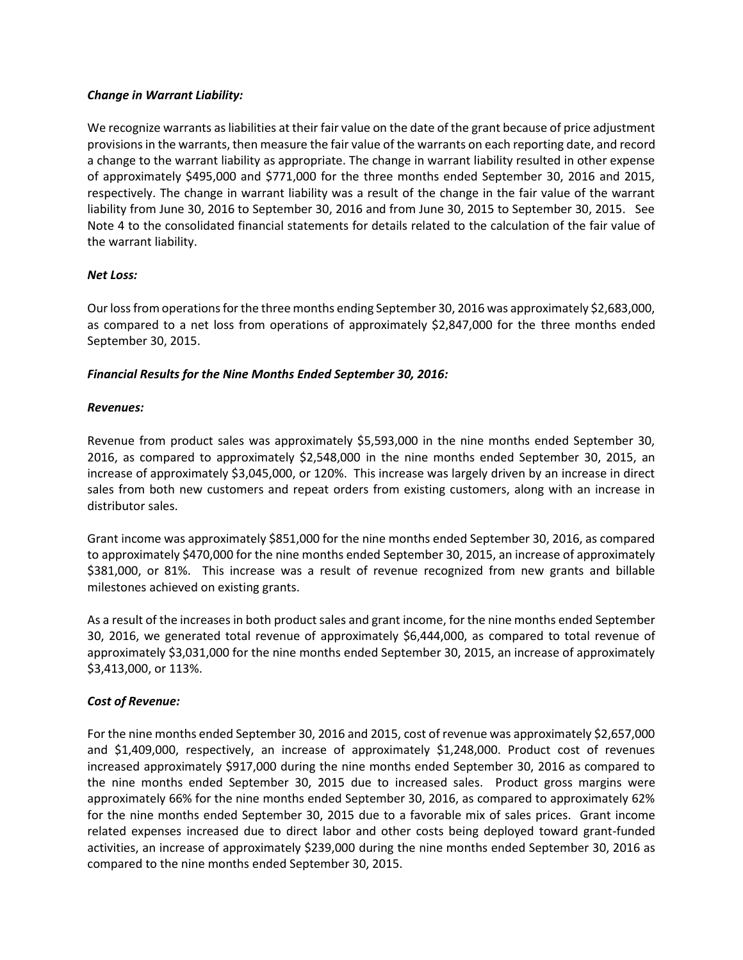### *Change in Warrant Liability:*

We recognize warrants as liabilities at their fair value on the date of the grant because of price adjustment provisions in the warrants, then measure the fair value of the warrants on each reporting date, and record a change to the warrant liability as appropriate. The change in warrant liability resulted in other expense of approximately \$495,000 and \$771,000 for the three months ended September 30, 2016 and 2015, respectively. The change in warrant liability was a result of the change in the fair value of the warrant liability from June 30, 2016 to September 30, 2016 and from June 30, 2015 to September 30, 2015. See Note 4 to the consolidated financial statements for details related to the calculation of the fair value of the warrant liability.

#### *Net Loss:*

Our loss from operations for the three months ending September 30, 2016 was approximately \$2,683,000, as compared to a net loss from operations of approximately \$2,847,000 for the three months ended September 30, 2015.

#### *Financial Results for the Nine Months Ended September 30, 2016:*

#### *Revenues:*

Revenue from product sales was approximately \$5,593,000 in the nine months ended September 30, 2016, as compared to approximately \$2,548,000 in the nine months ended September 30, 2015, an increase of approximately \$3,045,000, or 120%. This increase was largely driven by an increase in direct sales from both new customers and repeat orders from existing customers, along with an increase in distributor sales.

Grant income was approximately \$851,000 for the nine months ended September 30, 2016, as compared to approximately \$470,000 for the nine months ended September 30, 2015, an increase of approximately \$381,000, or 81%. This increase was a result of revenue recognized from new grants and billable milestones achieved on existing grants.

As a result of the increases in both product sales and grant income, for the nine months ended September 30, 2016, we generated total revenue of approximately \$6,444,000, as compared to total revenue of approximately \$3,031,000 for the nine months ended September 30, 2015, an increase of approximately \$3,413,000, or 113%.

#### *Cost of Revenue:*

For the nine months ended September 30, 2016 and 2015, cost of revenue was approximately \$2,657,000 and \$1,409,000, respectively, an increase of approximately \$1,248,000. Product cost of revenues increased approximately \$917,000 during the nine months ended September 30, 2016 as compared to the nine months ended September 30, 2015 due to increased sales. Product gross margins were approximately 66% for the nine months ended September 30, 2016, as compared to approximately 62% for the nine months ended September 30, 2015 due to a favorable mix of sales prices. Grant income related expenses increased due to direct labor and other costs being deployed toward grant-funded activities, an increase of approximately \$239,000 during the nine months ended September 30, 2016 as compared to the nine months ended September 30, 2015.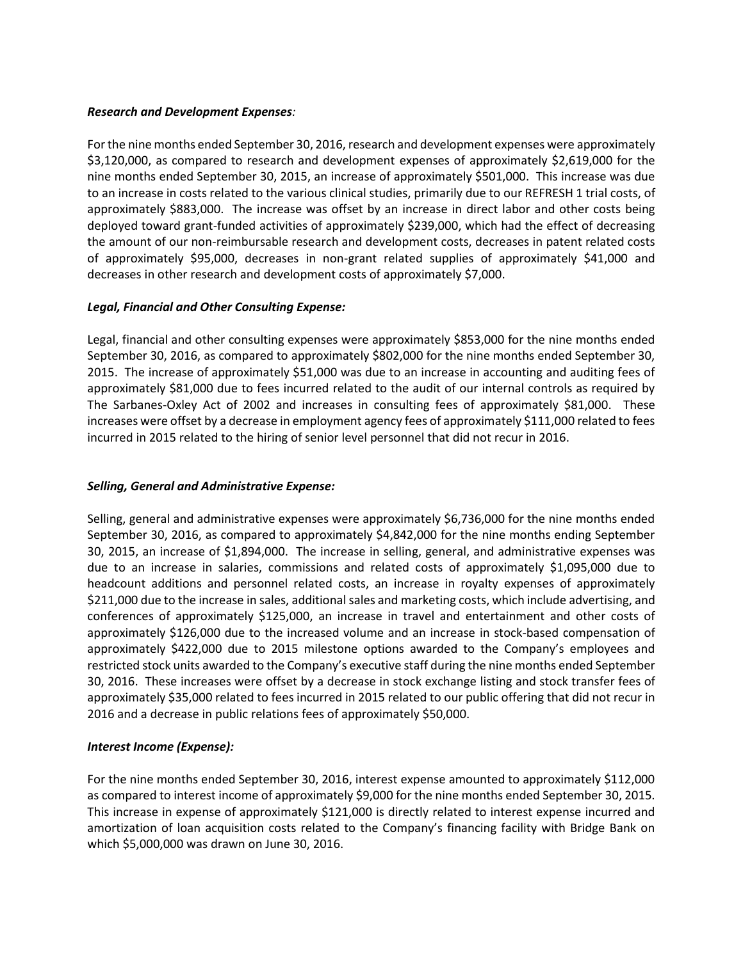#### *Research and Development Expenses:*

For the nine months ended September 30, 2016, research and development expenses were approximately \$3,120,000, as compared to research and development expenses of approximately \$2,619,000 for the nine months ended September 30, 2015, an increase of approximately \$501,000. This increase was due to an increase in costs related to the various clinical studies, primarily due to our REFRESH 1 trial costs, of approximately \$883,000. The increase was offset by an increase in direct labor and other costs being deployed toward grant-funded activities of approximately \$239,000, which had the effect of decreasing the amount of our non-reimbursable research and development costs, decreases in patent related costs of approximately \$95,000, decreases in non-grant related supplies of approximately \$41,000 and decreases in other research and development costs of approximately \$7,000.

### *Legal, Financial and Other Consulting Expense:*

Legal, financial and other consulting expenses were approximately \$853,000 for the nine months ended September 30, 2016, as compared to approximately \$802,000 for the nine months ended September 30, 2015. The increase of approximately \$51,000 was due to an increase in accounting and auditing fees of approximately \$81,000 due to fees incurred related to the audit of our internal controls as required by The Sarbanes-Oxley Act of 2002 and increases in consulting fees of approximately \$81,000. These increases were offset by a decrease in employment agency fees of approximately \$111,000 related to fees incurred in 2015 related to the hiring of senior level personnel that did not recur in 2016.

### *Selling, General and Administrative Expense:*

Selling, general and administrative expenses were approximately \$6,736,000 for the nine months ended September 30, 2016, as compared to approximately \$4,842,000 for the nine months ending September 30, 2015, an increase of \$1,894,000. The increase in selling, general, and administrative expenses was due to an increase in salaries, commissions and related costs of approximately \$1,095,000 due to headcount additions and personnel related costs, an increase in royalty expenses of approximately \$211,000 due to the increase in sales, additional sales and marketing costs, which include advertising, and conferences of approximately \$125,000, an increase in travel and entertainment and other costs of approximately \$126,000 due to the increased volume and an increase in stock-based compensation of approximately \$422,000 due to 2015 milestone options awarded to the Company's employees and restricted stock units awarded to the Company's executive staff during the nine months ended September 30, 2016. These increases were offset by a decrease in stock exchange listing and stock transfer fees of approximately \$35,000 related to fees incurred in 2015 related to our public offering that did not recur in 2016 and a decrease in public relations fees of approximately \$50,000.

### *Interest Income (Expense):*

For the nine months ended September 30, 2016, interest expense amounted to approximately \$112,000 as compared to interest income of approximately \$9,000 for the nine months ended September 30, 2015. This increase in expense of approximately \$121,000 is directly related to interest expense incurred and amortization of loan acquisition costs related to the Company's financing facility with Bridge Bank on which \$5,000,000 was drawn on June 30, 2016.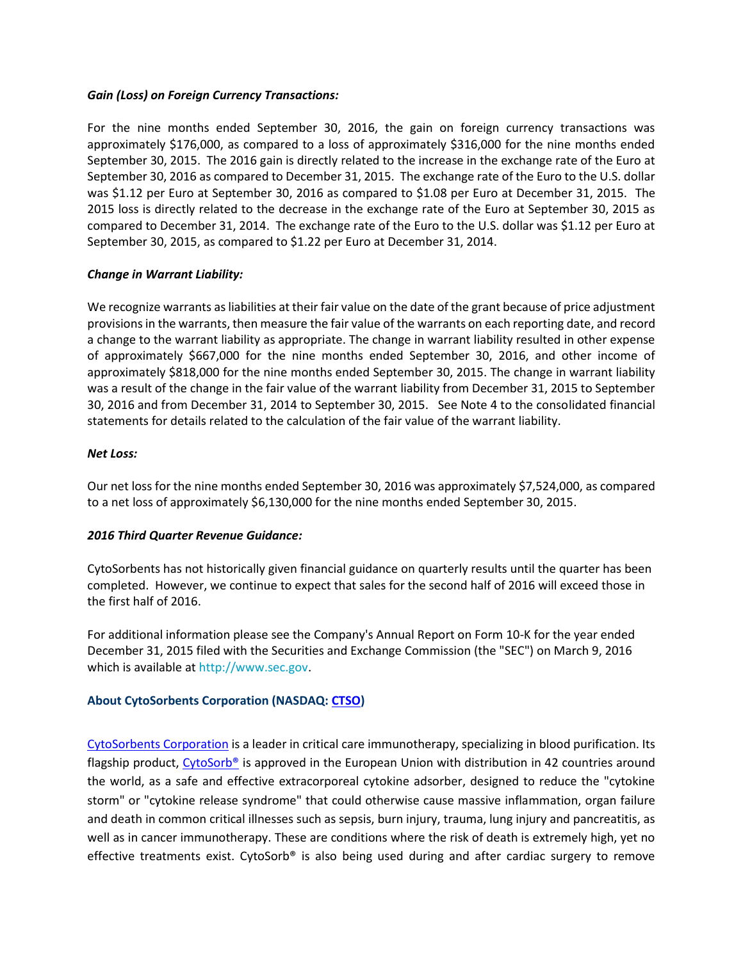#### *Gain (Loss) on Foreign Currency Transactions:*

For the nine months ended September 30, 2016, the gain on foreign currency transactions was approximately \$176,000, as compared to a loss of approximately \$316,000 for the nine months ended September 30, 2015. The 2016 gain is directly related to the increase in the exchange rate of the Euro at September 30, 2016 as compared to December 31, 2015. The exchange rate of the Euro to the U.S. dollar was \$1.12 per Euro at September 30, 2016 as compared to \$1.08 per Euro at December 31, 2015. The 2015 loss is directly related to the decrease in the exchange rate of the Euro at September 30, 2015 as compared to December 31, 2014. The exchange rate of the Euro to the U.S. dollar was \$1.12 per Euro at September 30, 2015, as compared to \$1.22 per Euro at December 31, 2014.

### *Change in Warrant Liability:*

We recognize warrants as liabilities at their fair value on the date of the grant because of price adjustment provisions in the warrants, then measure the fair value of the warrants on each reporting date, and record a change to the warrant liability as appropriate. The change in warrant liability resulted in other expense of approximately \$667,000 for the nine months ended September 30, 2016, and other income of approximately \$818,000 for the nine months ended September 30, 2015. The change in warrant liability was a result of the change in the fair value of the warrant liability from December 31, 2015 to September 30, 2016 and from December 31, 2014 to September 30, 2015. See Note 4 to the consolidated financial statements for details related to the calculation of the fair value of the warrant liability.

#### *Net Loss:*

Our net loss for the nine months ended September 30, 2016 was approximately \$7,524,000, as compared to a net loss of approximately \$6,130,000 for the nine months ended September 30, 2015.

### *2016 Third Quarter Revenue Guidance:*

CytoSorbents has not historically given financial guidance on quarterly results until the quarter has been completed. However, we continue to expect that sales for the second half of 2016 will exceed those in the first half of 2016.

For additional information please see the Company's Annual Report on Form 10-K for the year ended December 31, 2015 filed with the Securities and Exchange Commission (the "SEC") on March 9, 2016 which is available at [http://www.sec.gov.](http://www.sec.gov/)

### **About CytoSorbents Corporation (NASDAQ: [CTSO\)](http://r20.rs6.net/tn.jsp?f=001kdBOc3-59hW5L2g3X2-Cb4bbMslvr6kZMrAZjf_fITGTqEQIMx6CTD-ZH7dFZ_LzYivTTL1ylxyO8uk_hO2XJ4Iu7sHO2V-wyEcAn-5sPy11Za5suyu12jHHFMGHIewkbK3vSAmN1hP7zFc4fuHwFjT8VGBse3X42AGjxVYF1W4p_G0b2Xzwd7b8Gv2-vaAm&c=9KUPJ1PvBuha9tC-3obV_LeN59NPPJ7WaqU4QgYjuibGpf7q4o31_w==&ch=P4Ls2W43ELUW7zhECso1MVrKhUo57kdpcPA0R2ifEkGeNi37kSzAXA==)**

[CytoSorbents Corporation](http://www.cytosorbents.com/) is a leader in critical care immunotherapy, specializing in blood purification. Its flagship product, [CytoSorb®](http://www.cytosorb.com/) is approved in the European Union with distribution in 42 countries around the world, as a safe and effective extracorporeal cytokine adsorber, designed to reduce the "cytokine storm" or "cytokine release syndrome" that could otherwise cause massive inflammation, organ failure and death in common critical illnesses such as sepsis, burn injury, trauma, lung injury and pancreatitis, as well as in cancer immunotherapy. These are conditions where the risk of death is extremely high, yet no effective treatments exist. CytoSorb® is also being used during and after cardiac surgery to remove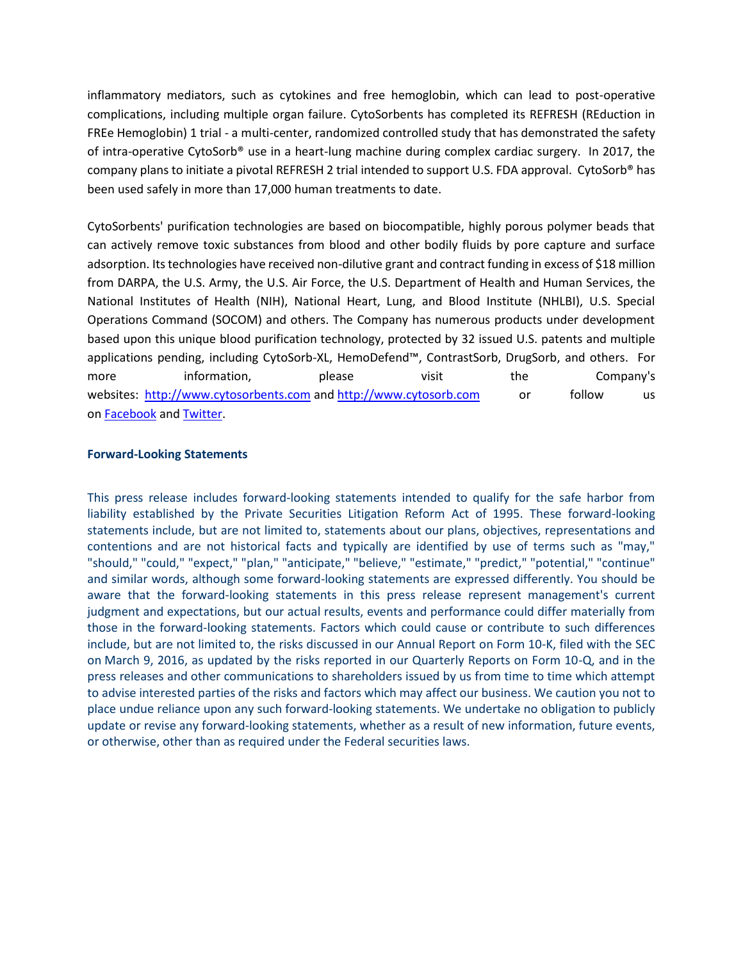inflammatory mediators, such as cytokines and free hemoglobin, which can lead to post-operative complications, including multiple organ failure. CytoSorbents has completed its REFRESH (REduction in FREe Hemoglobin) 1 trial - a multi-center, randomized controlled study that has demonstrated the safety of intra-operative CytoSorb® use in a heart-lung machine during complex cardiac surgery. In 2017, the company plans to initiate a pivotal REFRESH 2 trial intended to support U.S. FDA approval. CytoSorb® has been used safely in more than 17,000 human treatments to date.

CytoSorbents' purification technologies are based on biocompatible, highly porous polymer beads that can actively remove toxic substances from blood and other bodily fluids by pore capture and surface adsorption. Its technologies have received non-dilutive grant and contract funding in excess of \$18 million from DARPA, the U.S. Army, the U.S. Air Force, the U.S. Department of Health and Human Services, the National Institutes of Health (NIH), National Heart, Lung, and Blood Institute (NHLBI), U.S. Special Operations Command (SOCOM) and others. The Company has numerous products under development based upon this unique blood purification technology, protected by 32 issued U.S. patents and multiple applications pending, including CytoSorb-XL, HemoDefend™, ContrastSorb, DrugSorb, and others. For more information, please visit the Company's websites: [http://www.cytosorbents.com](http://www.cytosorbents.com/) and [http://www.cytosorb.com](http://www.cytosorb.com/) or follow us on [Facebook](https://www.facebook.com/cytosorbents/) and [Twitter.](https://twitter.com/CytoSorbents)

#### **Forward-Looking Statements**

This press release includes forward-looking statements intended to qualify for the safe harbor from liability established by the Private Securities Litigation Reform Act of 1995. These forward-looking statements include, but are not limited to, statements about our plans, objectives, representations and contentions and are not historical facts and typically are identified by use of terms such as "may," "should," "could," "expect," "plan," "anticipate," "believe," "estimate," "predict," "potential," "continue" and similar words, although some forward-looking statements are expressed differently. You should be aware that the forward-looking statements in this press release represent management's current judgment and expectations, but our actual results, events and performance could differ materially from those in the forward-looking statements. Factors which could cause or contribute to such differences include, but are not limited to, the risks discussed in our Annual Report on Form 10-K, filed with the SEC on March 9, 2016, as updated by the risks reported in our Quarterly Reports on Form 10-Q, and in the press releases and other communications to shareholders issued by us from time to time which attempt to advise interested parties of the risks and factors which may affect our business. We caution you not to place undue reliance upon any such forward-looking statements. We undertake no obligation to publicly update or revise any forward-looking statements, whether as a result of new information, future events, or otherwise, other than as required under the Federal securities laws.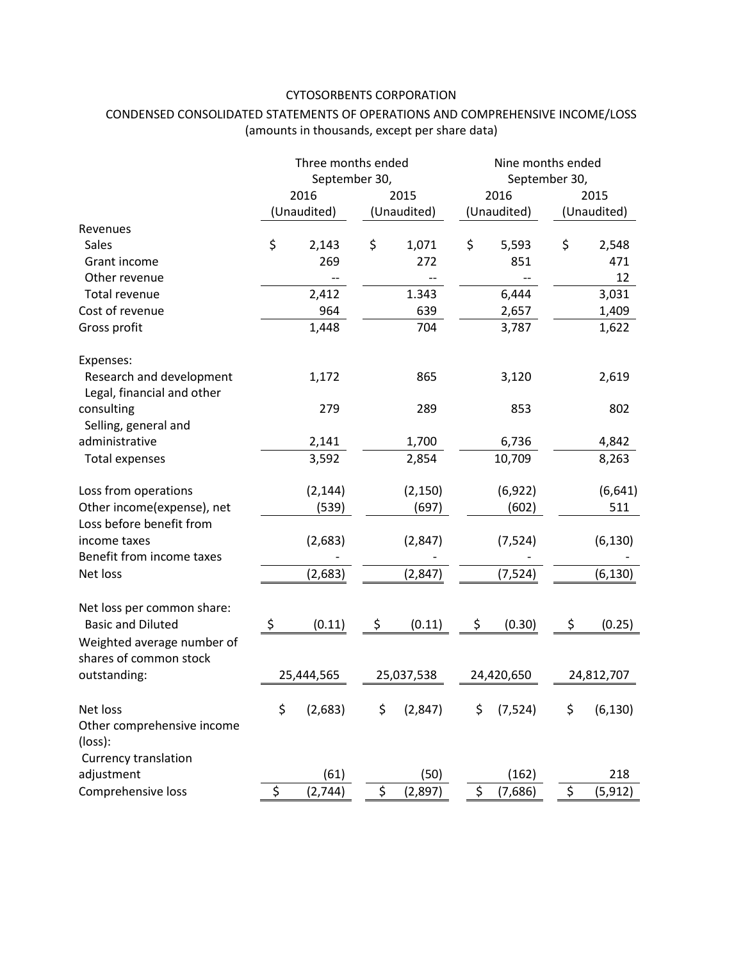## CYTOSORBENTS CORPORATION

## CONDENSED CONSOLIDATED STATEMENTS OF OPERATIONS AND COMPREHENSIVE INCOME/LOSS (amounts in thousands, except per share data)

|                                                        | Three months ended<br>September 30, |             |            | Nine months ended<br>September 30, |            |             |            |             |
|--------------------------------------------------------|-------------------------------------|-------------|------------|------------------------------------|------------|-------------|------------|-------------|
|                                                        |                                     |             |            |                                    |            |             |            |             |
|                                                        | 2016                                |             | 2015       |                                    | 2016       |             | 2015       |             |
|                                                        |                                     | (Unaudited) |            | (Unaudited)                        |            | (Unaudited) |            | (Unaudited) |
| Revenues                                               |                                     |             |            |                                    |            |             |            |             |
| Sales                                                  | \$                                  | 2,143       | \$         | 1,071                              | \$         | 5,593       | \$         | 2,548       |
| Grant income                                           |                                     | 269         |            | 272                                |            | 851         |            | 471         |
| Other revenue                                          |                                     |             |            |                                    |            |             |            | 12          |
| Total revenue                                          |                                     | 2,412       |            | 1.343                              |            | 6,444       |            | 3,031       |
| Cost of revenue                                        |                                     | 964         |            | 639                                |            | 2,657       |            | 1,409       |
| Gross profit                                           |                                     | 1,448       |            | 704                                |            | 3,787       |            | 1,622       |
| Expenses:                                              |                                     |             |            |                                    |            |             |            |             |
| Research and development<br>Legal, financial and other |                                     | 1,172       |            | 865                                |            | 3,120       |            | 2,619       |
| consulting<br>Selling, general and                     |                                     | 279         |            | 289                                |            | 853         |            | 802         |
| administrative                                         |                                     | 2,141       |            | 1,700                              |            | 6,736       |            | 4,842       |
| <b>Total expenses</b>                                  |                                     | 3,592       |            | 2,854                              |            | 10,709      |            | 8,263       |
| Loss from operations                                   |                                     | (2, 144)    |            | (2, 150)                           |            | (6, 922)    |            | (6, 641)    |
| Other income(expense), net                             |                                     | (539)       |            | (697)                              |            | (602)       |            | 511         |
| Loss before benefit from                               |                                     |             |            |                                    |            |             |            |             |
| income taxes                                           |                                     | (2,683)     |            | (2,847)                            |            | (7, 524)    |            | (6, 130)    |
| Benefit from income taxes                              |                                     |             |            |                                    |            |             |            |             |
| Net loss                                               |                                     | (2,683)     |            | (2, 847)                           |            | (7, 524)    |            | (6, 130)    |
| Net loss per common share:                             |                                     |             |            |                                    |            |             |            |             |
| <b>Basic and Diluted</b>                               | \$                                  | (0.11)      | \$         | (0.11)                             | \$         | (0.30)      | \$         | (0.25)      |
| Weighted average number of<br>shares of common stock   |                                     |             |            |                                    |            |             |            |             |
| outstanding:                                           | 25,444,565                          |             | 25,037,538 |                                    | 24,420,650 |             | 24,812,707 |             |
| Net loss<br>Other comprehensive income<br>(loss):      | \$                                  | (2,683)     | \$         | (2,847)                            | \$         | (7, 524)    | \$         | (6, 130)    |
| Currency translation                                   |                                     |             |            |                                    |            |             |            |             |
| adjustment                                             |                                     | (61)        |            | (50)                               |            | (162)       |            | 218         |
| Comprehensive loss                                     | \$                                  | (2,744)     | \$         | (2,897)                            | \$         | (7,686)     | $\zeta$    | (5, 912)    |